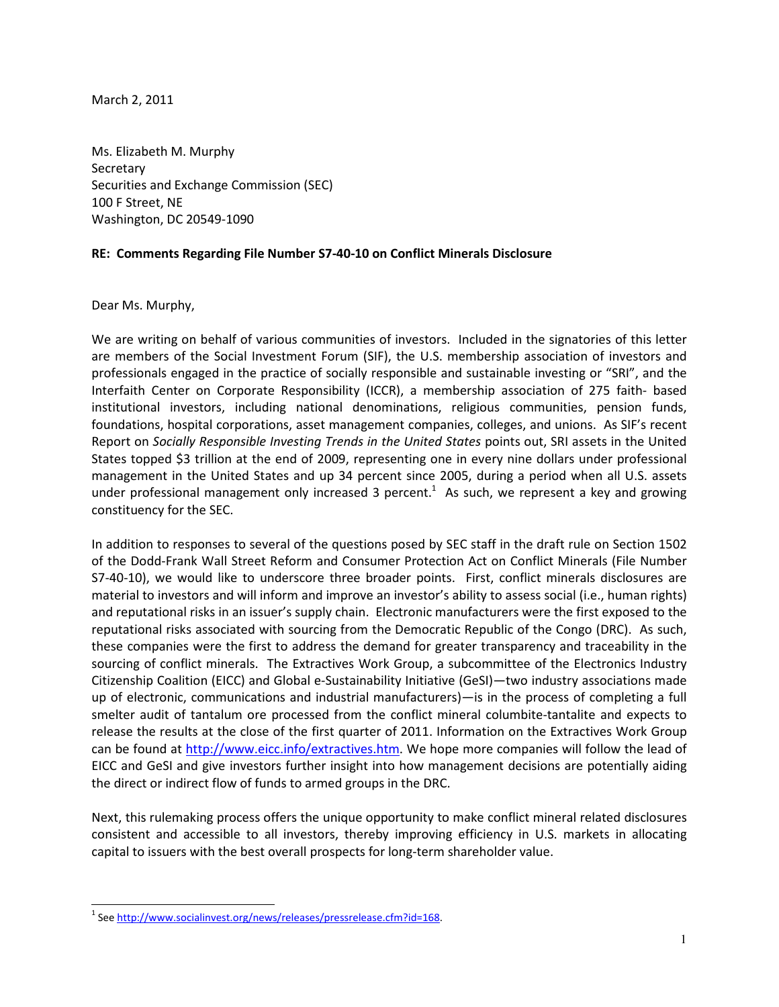March 2, 2011

Ms. Elizabeth M. Murphy **Secretary** Securities and Exchange Commission (SEC) 100 F Street, NE Washington, DC 20549-1090

## RE: Comments Regarding File Number S7-40-10 on Conflict Minerals Disclosure

Dear Ms. Murphy,

L

We are writing on behalf of various communities of investors. Included in the signatories of this letter are members of the Social Investment Forum (SIF), the U.S. membership association of investors and professionals engaged in the practice of socially responsible and sustainable investing or "SRI", and the Interfaith Center on Corporate Responsibility (ICCR), a membership association of 275 faith- based institutional investors, including national denominations, religious communities, pension funds, foundations, hospital corporations, asset management companies, colleges, and unions. As SIF's recent Report on Socially Responsible Investing Trends in the United States points out, SRI assets in the United States topped \$3 trillion at the end of 2009, representing one in every nine dollars under professional management in the United States and up 34 percent since 2005, during a period when all U.S. assets under professional management only increased 3 percent.<sup>1</sup> As such, we represent a key and growing constituency for the SEC.

In addition to responses to several of the questions posed by SEC staff in the draft rule on Section 1502 of the Dodd-Frank Wall Street Reform and Consumer Protection Act on Conflict Minerals (File Number S7-40-10), we would like to underscore three broader points. First, conflict minerals disclosures are material to investors and will inform and improve an investor's ability to assess social (i.e., human rights) and reputational risks in an issuer's supply chain. Electronic manufacturers were the first exposed to the reputational risks associated with sourcing from the Democratic Republic of the Congo (DRC). As such, these companies were the first to address the demand for greater transparency and traceability in the sourcing of conflict minerals. The Extractives Work Group, a subcommittee of the Electronics Industry Citizenship Coalition (EICC) and Global e-Sustainability Initiative (GeSI)—two industry associations made up of electronic, communications and industrial manufacturers)—is in the process of completing a full smelter audit of tantalum ore processed from the conflict mineral columbite-tantalite and expects to release the results at the close of the first quarter of 2011. Information on the Extractives Work Group can be found at http://www.eicc.info/extractives.htm. We hope more companies will follow the lead of EICC and GeSI and give investors further insight into how management decisions are potentially aiding the direct or indirect flow of funds to armed groups in the DRC.

Next, this rulemaking process offers the unique opportunity to make conflict mineral related disclosures consistent and accessible to all investors, thereby improving efficiency in U.S. markets in allocating capital to issuers with the best overall prospects for long-term shareholder value.

<sup>&</sup>lt;sup>1</sup> See http://www.socialinvest.org/news/releases/pressrelease.cfm?id=168.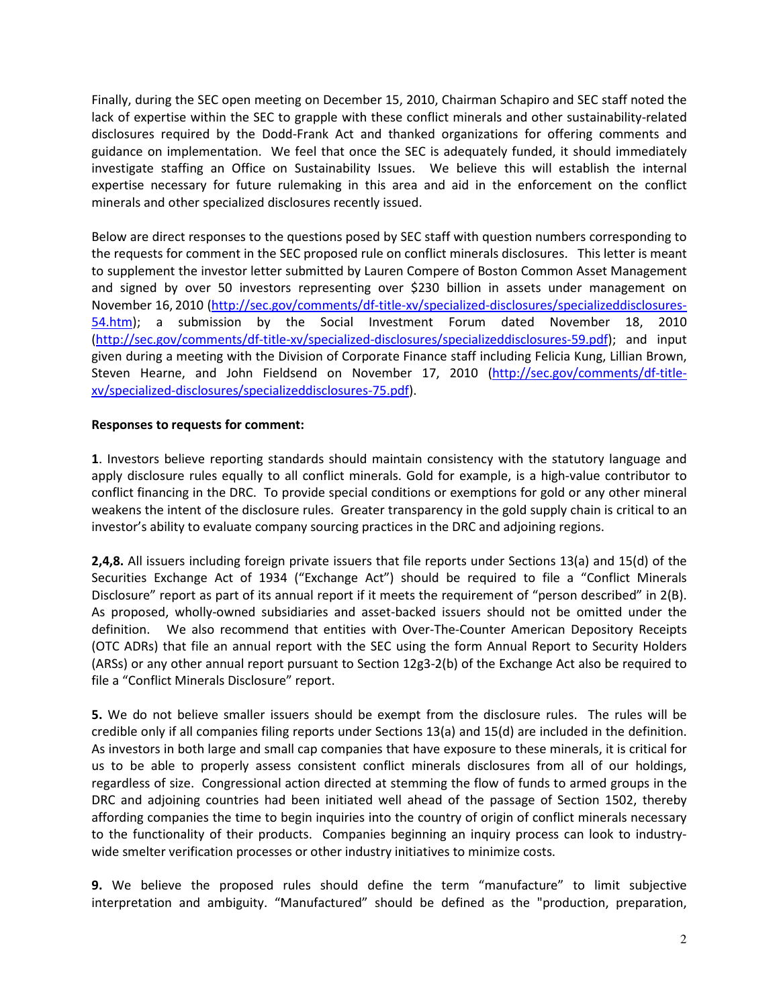Finally, during the SEC open meeting on December 15, 2010, Chairman Schapiro and SEC staff noted the lack of expertise within the SEC to grapple with these conflict minerals and other sustainability-related disclosures required by the Dodd-Frank Act and thanked organizations for offering comments and guidance on implementation. We feel that once the SEC is adequately funded, it should immediately investigate staffing an Office on Sustainability Issues. We believe this will establish the internal expertise necessary for future rulemaking in this area and aid in the enforcement on the conflict minerals and other specialized disclosures recently issued.

Below are direct responses to the questions posed by SEC staff with question numbers corresponding to the requests for comment in the SEC proposed rule on conflict minerals disclosures. This letter is meant to supplement the investor letter submitted by Lauren Compere of Boston Common Asset Management and signed by over 50 investors representing over \$230 billion in assets under management on November 16, 2010 (http://sec.gov/comments/df-title-xv/specialized-disclosures/specializeddisclosures-54.htm); a submission by the Social Investment Forum dated November 18, 2010 (http://sec.gov/comments/df-title-xv/specialized-disclosures/specializeddisclosures-59.pdf); and input given during a meeting with the Division of Corporate Finance staff including Felicia Kung, Lillian Brown, Steven Hearne, and John Fieldsend on November 17, 2010 (http://sec.gov/comments/df-titlexv/specialized-disclosures/specializeddisclosures-75.pdf).

## Responses to requests for comment:

1. Investors believe reporting standards should maintain consistency with the statutory language and apply disclosure rules equally to all conflict minerals. Gold for example, is a high-value contributor to conflict financing in the DRC. To provide special conditions or exemptions for gold or any other mineral weakens the intent of the disclosure rules. Greater transparency in the gold supply chain is critical to an investor's ability to evaluate company sourcing practices in the DRC and adjoining regions.

2,4,8. All issuers including foreign private issuers that file reports under Sections 13(a) and 15(d) of the Securities Exchange Act of 1934 ("Exchange Act") should be required to file a "Conflict Minerals Disclosure" report as part of its annual report if it meets the requirement of "person described" in 2(B). As proposed, wholly-owned subsidiaries and asset-backed issuers should not be omitted under the definition. We also recommend that entities with Over-The-Counter American Depository Receipts (OTC ADRs) that file an annual report with the SEC using the form Annual Report to Security Holders (ARSs) or any other annual report pursuant to Section 12g3-2(b) of the Exchange Act also be required to file a "Conflict Minerals Disclosure" report.

5. We do not believe smaller issuers should be exempt from the disclosure rules. The rules will be credible only if all companies filing reports under Sections 13(a) and 15(d) are included in the definition. As investors in both large and small cap companies that have exposure to these minerals, it is critical for us to be able to properly assess consistent conflict minerals disclosures from all of our holdings, regardless of size. Congressional action directed at stemming the flow of funds to armed groups in the DRC and adjoining countries had been initiated well ahead of the passage of Section 1502, thereby affording companies the time to begin inquiries into the country of origin of conflict minerals necessary to the functionality of their products. Companies beginning an inquiry process can look to industrywide smelter verification processes or other industry initiatives to minimize costs.

9. We believe the proposed rules should define the term "manufacture" to limit subjective interpretation and ambiguity. "Manufactured" should be defined as the "production, preparation,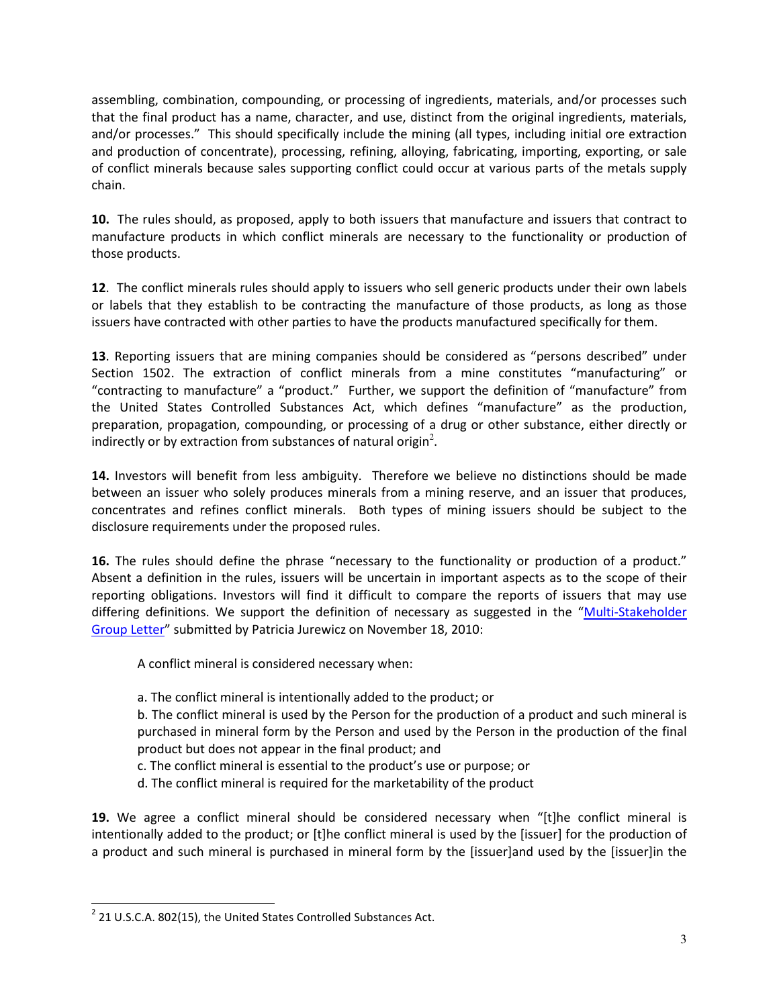assembling, combination, compounding, or processing of ingredients, materials, and/or processes such that the final product has a name, character, and use, distinct from the original ingredients, materials, and/or processes." This should specifically include the mining (all types, including initial ore extraction and production of concentrate), processing, refining, alloying, fabricating, importing, exporting, or sale of conflict minerals because sales supporting conflict could occur at various parts of the metals supply chain.

10. The rules should, as proposed, apply to both issuers that manufacture and issuers that contract to manufacture products in which conflict minerals are necessary to the functionality or production of those products.

12. The conflict minerals rules should apply to issuers who sell generic products under their own labels or labels that they establish to be contracting the manufacture of those products, as long as those issuers have contracted with other parties to have the products manufactured specifically for them.

13. Reporting issuers that are mining companies should be considered as "persons described" under Section 1502. The extraction of conflict minerals from a mine constitutes "manufacturing" or "contracting to manufacture" a "product." Further, we support the definition of "manufacture" from the United States Controlled Substances Act, which defines "manufacture" as the production, preparation, propagation, compounding, or processing of a drug or other substance, either directly or  $\dot{a}$  indirectly or by extraction from substances of natural origin<sup>2</sup>.

14. Investors will benefit from less ambiguity. Therefore we believe no distinctions should be made between an issuer who solely produces minerals from a mining reserve, and an issuer that produces, concentrates and refines conflict minerals. Both types of mining issuers should be subject to the disclosure requirements under the proposed rules.

16. The rules should define the phrase "necessary to the functionality or production of a product." Absent a definition in the rules, issuers will be uncertain in important aspects as to the scope of their reporting obligations. Investors will find it difficult to compare the reports of issuers that may use differing definitions. We support the definition of necessary as suggested in the "Multi-Stakeholder Group Letter" submitted by Patricia Jurewicz on November 18, 2010:

A conflict mineral is considered necessary when:

a. The conflict mineral is intentionally added to the product; or

b. The conflict mineral is used by the Person for the production of a product and such mineral is purchased in mineral form by the Person and used by the Person in the production of the final product but does not appear in the final product; and

- c. The conflict mineral is essential to the product's use or purpose; or
- d. The conflict mineral is required for the marketability of the product

19. We agree a conflict mineral should be considered necessary when "[t]he conflict mineral is intentionally added to the product; or [t]he conflict mineral is used by the [issuer] for the production of a product and such mineral is purchased in mineral form by the [issuer]and used by the [issuer]in the

l

 $2$  21 U.S.C.A. 802(15), the United States Controlled Substances Act.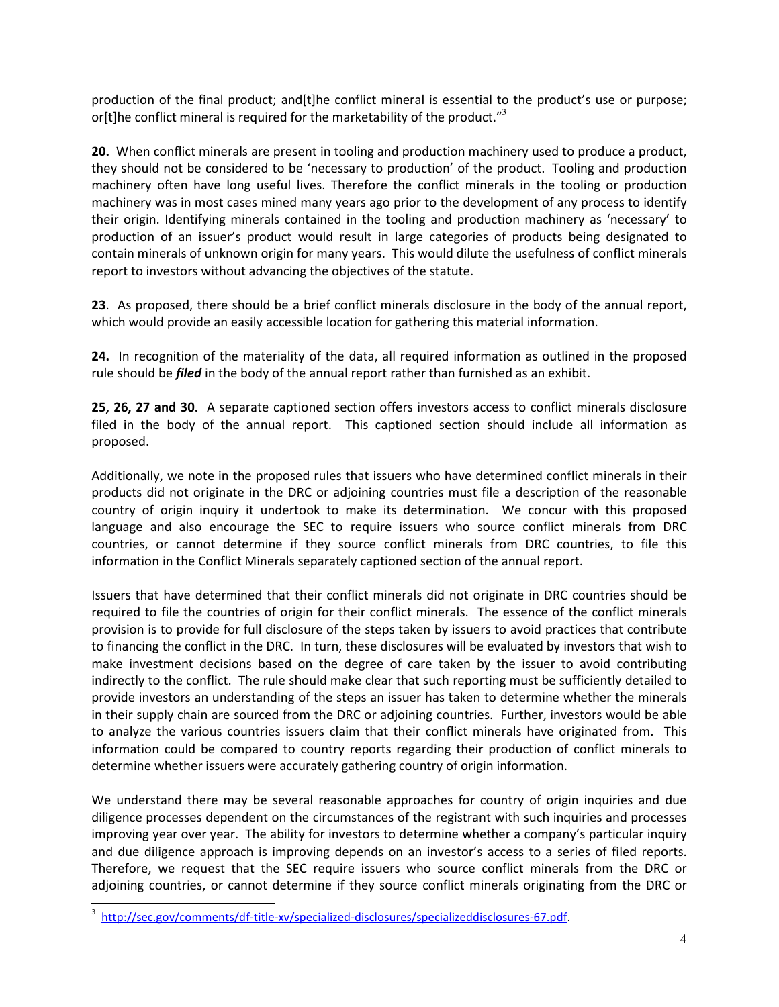production of the final product; and[t]he conflict mineral is essential to the product's use or purpose; or[t]he conflict mineral is required for the marketability of the product." $3$ 

20. When conflict minerals are present in tooling and production machinery used to produce a product, they should not be considered to be 'necessary to production' of the product. Tooling and production machinery often have long useful lives. Therefore the conflict minerals in the tooling or production machinery was in most cases mined many years ago prior to the development of any process to identify their origin. Identifying minerals contained in the tooling and production machinery as 'necessary' to production of an issuer's product would result in large categories of products being designated to contain minerals of unknown origin for many years. This would dilute the usefulness of conflict minerals report to investors without advancing the objectives of the statute.

23. As proposed, there should be a brief conflict minerals disclosure in the body of the annual report, which would provide an easily accessible location for gathering this material information.

24. In recognition of the materiality of the data, all required information as outlined in the proposed rule should be *filed* in the body of the annual report rather than furnished as an exhibit.

25, 26, 27 and 30. A separate captioned section offers investors access to conflict minerals disclosure filed in the body of the annual report. This captioned section should include all information as proposed.

Additionally, we note in the proposed rules that issuers who have determined conflict minerals in their products did not originate in the DRC or adjoining countries must file a description of the reasonable country of origin inquiry it undertook to make its determination. We concur with this proposed language and also encourage the SEC to require issuers who source conflict minerals from DRC countries, or cannot determine if they source conflict minerals from DRC countries, to file this information in the Conflict Minerals separately captioned section of the annual report.

Issuers that have determined that their conflict minerals did not originate in DRC countries should be required to file the countries of origin for their conflict minerals. The essence of the conflict minerals provision is to provide for full disclosure of the steps taken by issuers to avoid practices that contribute to financing the conflict in the DRC. In turn, these disclosures will be evaluated by investors that wish to make investment decisions based on the degree of care taken by the issuer to avoid contributing indirectly to the conflict. The rule should make clear that such reporting must be sufficiently detailed to provide investors an understanding of the steps an issuer has taken to determine whether the minerals in their supply chain are sourced from the DRC or adjoining countries. Further, investors would be able to analyze the various countries issuers claim that their conflict minerals have originated from. This information could be compared to country reports regarding their production of conflict minerals to determine whether issuers were accurately gathering country of origin information.

We understand there may be several reasonable approaches for country of origin inquiries and due diligence processes dependent on the circumstances of the registrant with such inquiries and processes improving year over year. The ability for investors to determine whether a company's particular inquiry and due diligence approach is improving depends on an investor's access to a series of filed reports. Therefore, we request that the SEC require issuers who source conflict minerals from the DRC or adjoining countries, or cannot determine if they source conflict minerals originating from the DRC or

l

<sup>3</sup> http://sec.gov/comments/df-title-xv/specialized-disclosures/specializeddisclosures-67.pdf.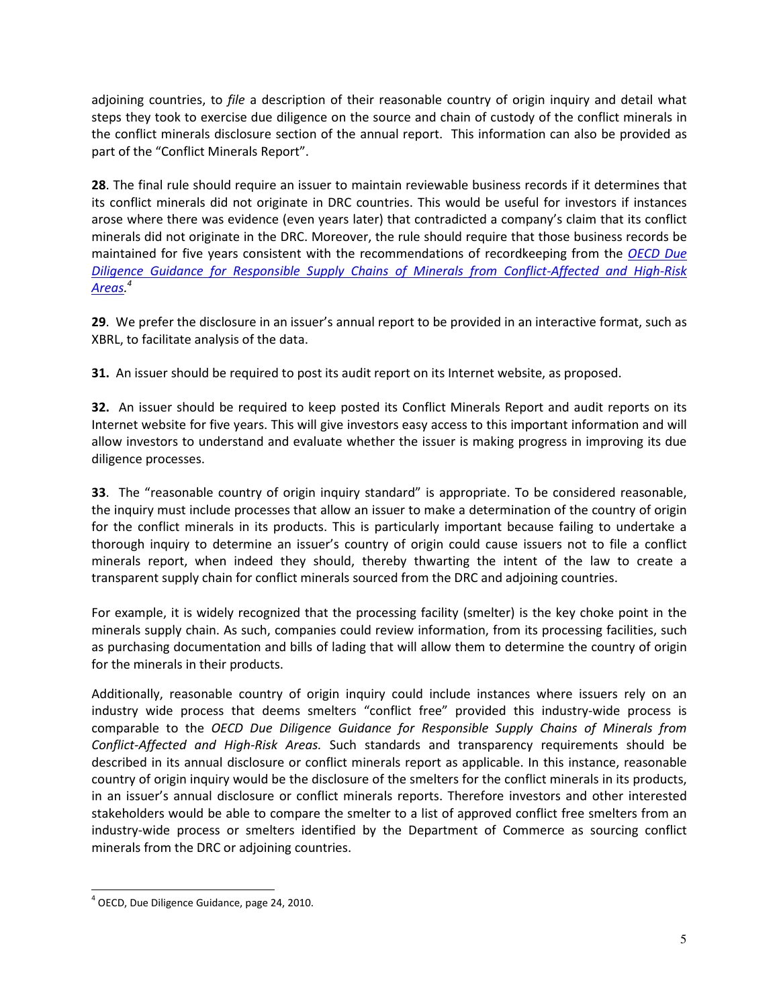adjoining countries, to file a description of their reasonable country of origin inquiry and detail what steps they took to exercise due diligence on the source and chain of custody of the conflict minerals in the conflict minerals disclosure section of the annual report. This information can also be provided as part of the "Conflict Minerals Report".

28. The final rule should require an issuer to maintain reviewable business records if it determines that its conflict minerals did not originate in DRC countries. This would be useful for investors if instances arose where there was evidence (even years later) that contradicted a company's claim that its conflict minerals did not originate in the DRC. Moreover, the rule should require that those business records be maintained for five years consistent with the recommendations of recordkeeping from the OECD Due Diligence Guidance for Responsible Supply Chains of Minerals from Conflict-Affected and High-Risk Areas. 4

29. We prefer the disclosure in an issuer's annual report to be provided in an interactive format, such as XBRL, to facilitate analysis of the data.

31. An issuer should be required to post its audit report on its Internet website, as proposed.

32. An issuer should be required to keep posted its Conflict Minerals Report and audit reports on its Internet website for five years. This will give investors easy access to this important information and will allow investors to understand and evaluate whether the issuer is making progress in improving its due diligence processes.

33. The "reasonable country of origin inquiry standard" is appropriate. To be considered reasonable, the inquiry must include processes that allow an issuer to make a determination of the country of origin for the conflict minerals in its products. This is particularly important because failing to undertake a thorough inquiry to determine an issuer's country of origin could cause issuers not to file a conflict minerals report, when indeed they should, thereby thwarting the intent of the law to create a transparent supply chain for conflict minerals sourced from the DRC and adjoining countries.

For example, it is widely recognized that the processing facility (smelter) is the key choke point in the minerals supply chain. As such, companies could review information, from its processing facilities, such as purchasing documentation and bills of lading that will allow them to determine the country of origin for the minerals in their products.

Additionally, reasonable country of origin inquiry could include instances where issuers rely on an industry wide process that deems smelters "conflict free" provided this industry-wide process is comparable to the OECD Due Diligence Guidance for Responsible Supply Chains of Minerals from Conflict-Affected and High-Risk Areas. Such standards and transparency requirements should be described in its annual disclosure or conflict minerals report as applicable. In this instance, reasonable country of origin inquiry would be the disclosure of the smelters for the conflict minerals in its products, in an issuer's annual disclosure or conflict minerals reports. Therefore investors and other interested stakeholders would be able to compare the smelter to a list of approved conflict free smelters from an industry-wide process or smelters identified by the Department of Commerce as sourcing conflict minerals from the DRC or adjoining countries.

L

<sup>4</sup> OECD, Due Diligence Guidance, page 24, 2010.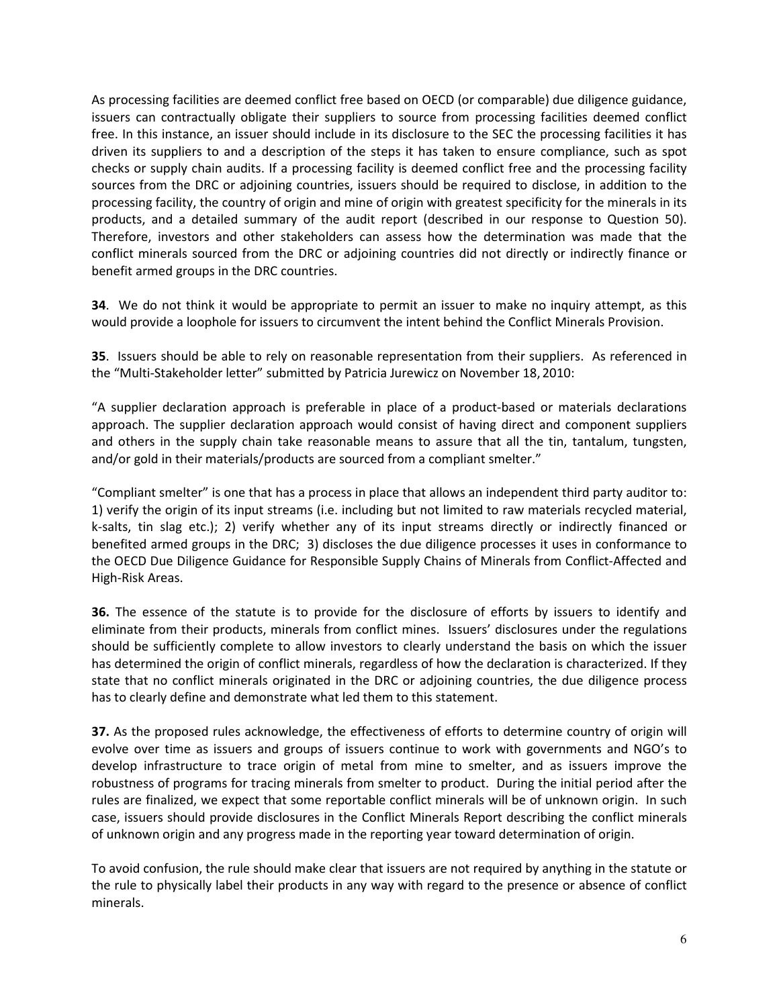As processing facilities are deemed conflict free based on OECD (or comparable) due diligence guidance, issuers can contractually obligate their suppliers to source from processing facilities deemed conflict free. In this instance, an issuer should include in its disclosure to the SEC the processing facilities it has driven its suppliers to and a description of the steps it has taken to ensure compliance, such as spot checks or supply chain audits. If a processing facility is deemed conflict free and the processing facility sources from the DRC or adjoining countries, issuers should be required to disclose, in addition to the processing facility, the country of origin and mine of origin with greatest specificity for the minerals in its products, and a detailed summary of the audit report (described in our response to Question 50). Therefore, investors and other stakeholders can assess how the determination was made that the conflict minerals sourced from the DRC or adjoining countries did not directly or indirectly finance or benefit armed groups in the DRC countries.

**34**. We do not think it would be appropriate to permit an issuer to make no inquiry attempt, as this would provide a loophole for issuers to circumvent the intent behind the Conflict Minerals Provision.

35. Issuers should be able to rely on reasonable representation from their suppliers. As referenced in the "Multi-Stakeholder letter" submitted by Patricia Jurewicz on November 18, 2010:

"A supplier declaration approach is preferable in place of a product-based or materials declarations approach. The supplier declaration approach would consist of having direct and component suppliers and others in the supply chain take reasonable means to assure that all the tin, tantalum, tungsten, and/or gold in their materials/products are sourced from a compliant smelter."

"Compliant smelter" is one that has a process in place that allows an independent third party auditor to: 1) verify the origin of its input streams (i.e. including but not limited to raw materials recycled material, k-salts, tin slag etc.); 2) verify whether any of its input streams directly or indirectly financed or benefited armed groups in the DRC; 3) discloses the due diligence processes it uses in conformance to the OECD Due Diligence Guidance for Responsible Supply Chains of Minerals from Conflict-Affected and High-Risk Areas.

36. The essence of the statute is to provide for the disclosure of efforts by issuers to identify and eliminate from their products, minerals from conflict mines. Issuers' disclosures under the regulations should be sufficiently complete to allow investors to clearly understand the basis on which the issuer has determined the origin of conflict minerals, regardless of how the declaration is characterized. If they state that no conflict minerals originated in the DRC or adjoining countries, the due diligence process has to clearly define and demonstrate what led them to this statement.

37. As the proposed rules acknowledge, the effectiveness of efforts to determine country of origin will evolve over time as issuers and groups of issuers continue to work with governments and NGO's to develop infrastructure to trace origin of metal from mine to smelter, and as issuers improve the robustness of programs for tracing minerals from smelter to product. During the initial period after the rules are finalized, we expect that some reportable conflict minerals will be of unknown origin. In such case, issuers should provide disclosures in the Conflict Minerals Report describing the conflict minerals of unknown origin and any progress made in the reporting year toward determination of origin.

To avoid confusion, the rule should make clear that issuers are not required by anything in the statute or the rule to physically label their products in any way with regard to the presence or absence of conflict minerals.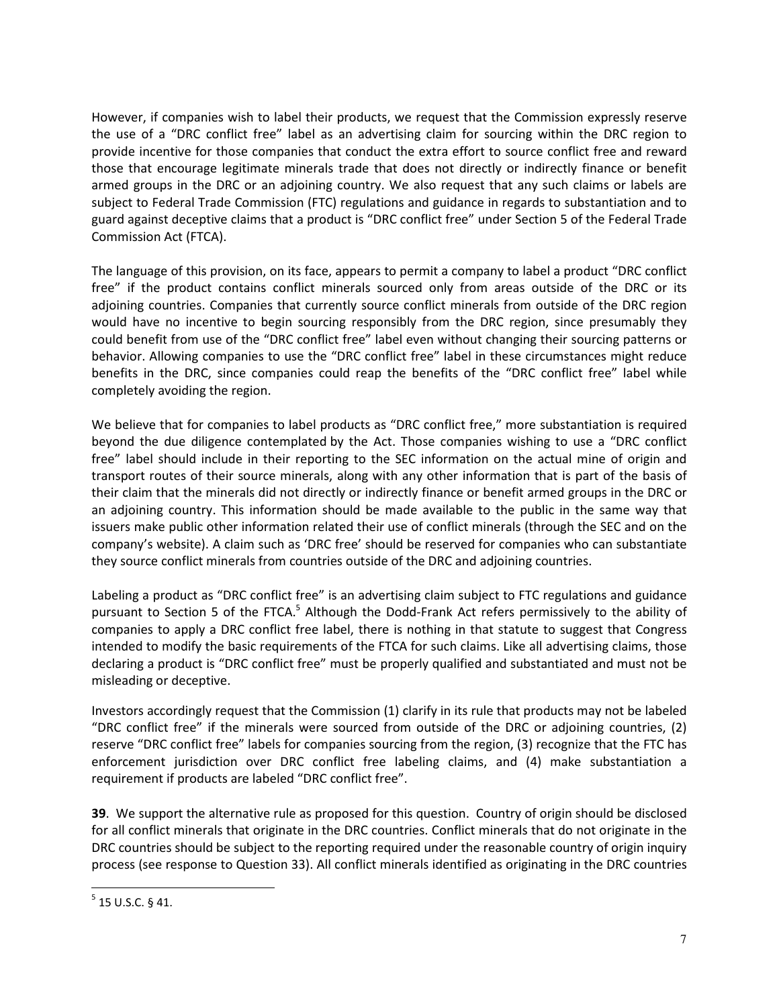However, if companies wish to label their products, we request that the Commission expressly reserve the use of a "DRC conflict free" label as an advertising claim for sourcing within the DRC region to provide incentive for those companies that conduct the extra effort to source conflict free and reward those that encourage legitimate minerals trade that does not directly or indirectly finance or benefit armed groups in the DRC or an adjoining country. We also request that any such claims or labels are subject to Federal Trade Commission (FTC) regulations and guidance in regards to substantiation and to guard against deceptive claims that a product is "DRC conflict free" under Section 5 of the Federal Trade Commission Act (FTCA).

The language of this provision, on its face, appears to permit a company to label a product "DRC conflict free" if the product contains conflict minerals sourced only from areas outside of the DRC or its adjoining countries. Companies that currently source conflict minerals from outside of the DRC region would have no incentive to begin sourcing responsibly from the DRC region, since presumably they could benefit from use of the "DRC conflict free" label even without changing their sourcing patterns or behavior. Allowing companies to use the "DRC conflict free" label in these circumstances might reduce benefits in the DRC, since companies could reap the benefits of the "DRC conflict free" label while completely avoiding the region.

We believe that for companies to label products as "DRC conflict free," more substantiation is required beyond the due diligence contemplated by the Act. Those companies wishing to use a "DRC conflict free" label should include in their reporting to the SEC information on the actual mine of origin and transport routes of their source minerals, along with any other information that is part of the basis of their claim that the minerals did not directly or indirectly finance or benefit armed groups in the DRC or an adjoining country. This information should be made available to the public in the same way that issuers make public other information related their use of conflict minerals (through the SEC and on the company's website). A claim such as 'DRC free' should be reserved for companies who can substantiate they source conflict minerals from countries outside of the DRC and adjoining countries.

Labeling a product as "DRC conflict free" is an advertising claim subject to FTC regulations and guidance pursuant to Section 5 of the FTCA.<sup>5</sup> Although the Dodd-Frank Act refers permissively to the ability of companies to apply a DRC conflict free label, there is nothing in that statute to suggest that Congress intended to modify the basic requirements of the FTCA for such claims. Like all advertising claims, those declaring a product is "DRC conflict free" must be properly qualified and substantiated and must not be misleading or deceptive.

Investors accordingly request that the Commission (1) clarify in its rule that products may not be labeled "DRC conflict free" if the minerals were sourced from outside of the DRC or adjoining countries, (2) reserve "DRC conflict free" labels for companies sourcing from the region, (3) recognize that the FTC has enforcement jurisdiction over DRC conflict free labeling claims, and (4) make substantiation a requirement if products are labeled "DRC conflict free".

39. We support the alternative rule as proposed for this question. Country of origin should be disclosed for all conflict minerals that originate in the DRC countries. Conflict minerals that do not originate in the DRC countries should be subject to the reporting required under the reasonable country of origin inquiry process (see response to Question 33). All conflict minerals identified as originating in the DRC countries

 $<sup>5</sup>$  15 U.S.C. § 41.</sup>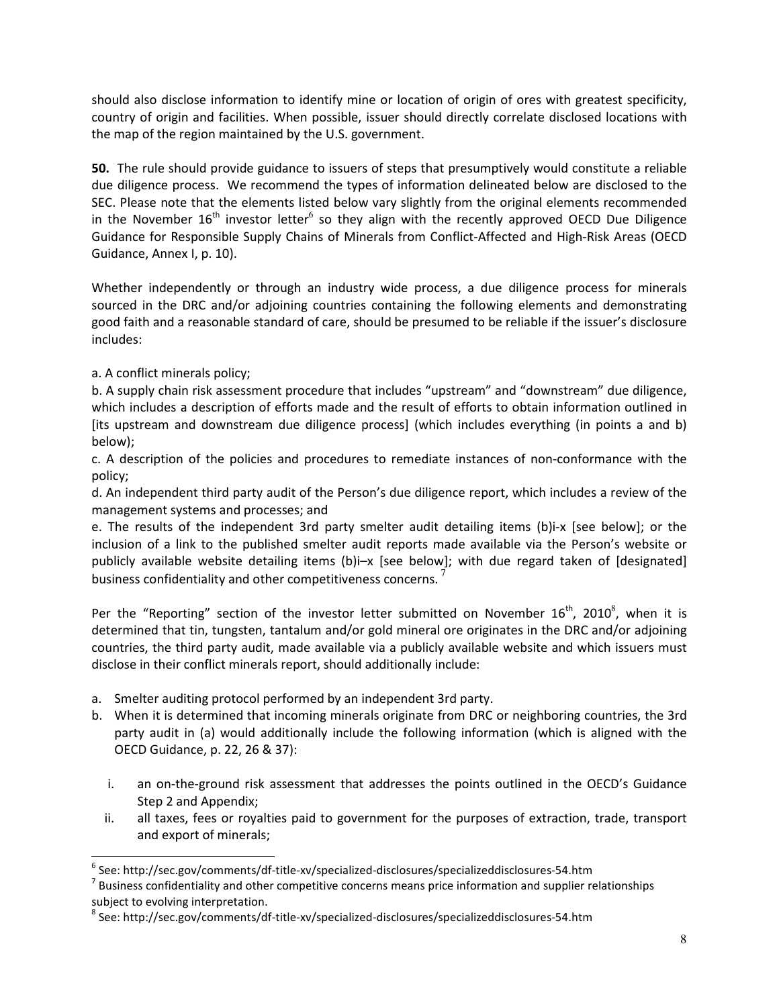should also disclose information to identify mine or location of origin of ores with greatest specificity, country of origin and facilities. When possible, issuer should directly correlate disclosed locations with the map of the region maintained by the U.S. government.

50. The rule should provide guidance to issuers of steps that presumptively would constitute a reliable due diligence process. We recommend the types of information delineated below are disclosed to the SEC. Please note that the elements listed below vary slightly from the original elements recommended in the November  $16<sup>th</sup>$  investor letter<sup>6</sup> so they align with the recently approved OECD Due Diligence Guidance for Responsible Supply Chains of Minerals from Conflict-Affected and High-Risk Areas (OECD Guidance, Annex I, p. 10).

Whether independently or through an industry wide process, a due diligence process for minerals sourced in the DRC and/or adjoining countries containing the following elements and demonstrating good faith and a reasonable standard of care, should be presumed to be reliable if the issuer's disclosure includes:

a. A conflict minerals policy;

L

b. A supply chain risk assessment procedure that includes "upstream" and "downstream" due diligence, which includes a description of efforts made and the result of efforts to obtain information outlined in [its upstream and downstream due diligence process] (which includes everything (in points a and b) below);

c. A description of the policies and procedures to remediate instances of non-conformance with the policy;

d. An independent third party audit of the Person's due diligence report, which includes a review of the management systems and processes; and

e. The results of the independent 3rd party smelter audit detailing items (b)i-x [see below]; or the inclusion of a link to the published smelter audit reports made available via the Person's website or publicly available website detailing items (b)i–x [see below]; with due regard taken of [designated] business confidentiality and other competitiveness concerns.<sup>7</sup>

Per the "Reporting" section of the investor letter submitted on November  $16^{\text{th}}$ , 2010<sup>8</sup>, when it is determined that tin, tungsten, tantalum and/or gold mineral ore originates in the DRC and/or adjoining countries, the third party audit, made available via a publicly available website and which issuers must disclose in their conflict minerals report, should additionally include:

- a. Smelter auditing protocol performed by an independent 3rd party.
- b. When it is determined that incoming minerals originate from DRC or neighboring countries, the 3rd party audit in (a) would additionally include the following information (which is aligned with the OECD Guidance, p. 22, 26 & 37):
	- i. an on-the-ground risk assessment that addresses the points outlined in the OECD's Guidance Step 2 and Appendix;
	- ii. all taxes, fees or royalties paid to government for the purposes of extraction, trade, transport and export of minerals;

<sup>&</sup>lt;sup>6</sup> See: http://sec.gov/comments/df-title-xv/specialized-disclosures/specializeddisclosures-54.htm

 $<sup>7</sup>$  Business confidentiality and other competitive concerns means price information and supplier relationships</sup> subject to evolving interpretation.

<sup>8</sup> See: http://sec.gov/comments/df-title-xv/specialized-disclosures/specializeddisclosures-54.htm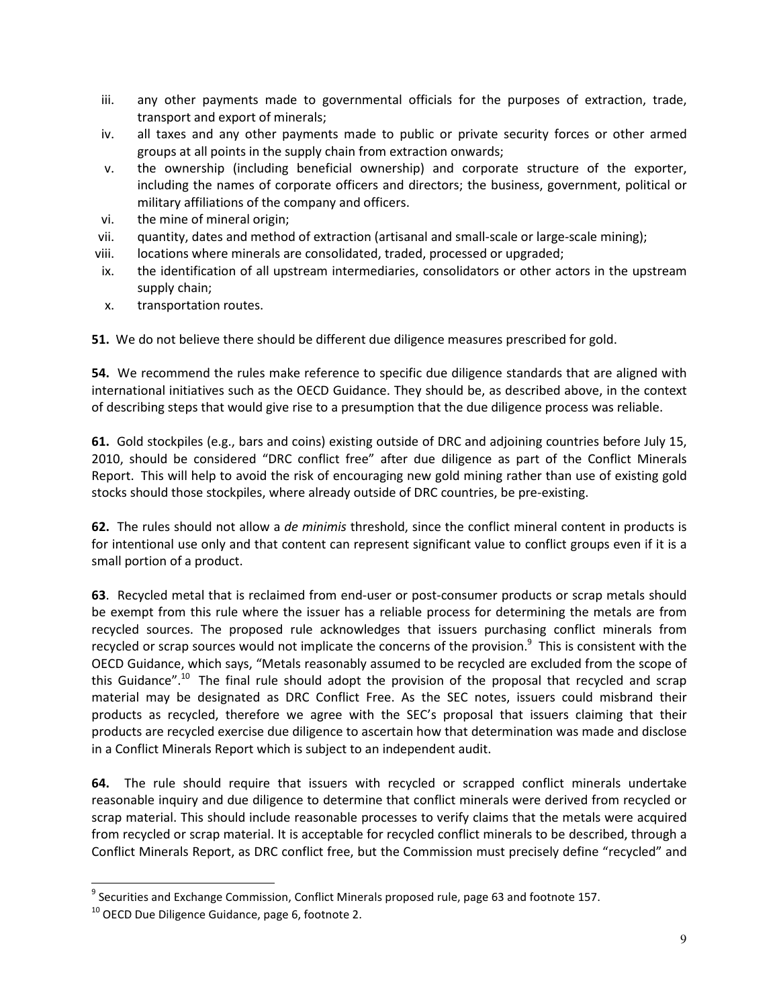- iii. any other payments made to governmental officials for the purposes of extraction, trade, transport and export of minerals;
- iv. all taxes and any other payments made to public or private security forces or other armed groups at all points in the supply chain from extraction onwards;
- v. the ownership (including beneficial ownership) and corporate structure of the exporter, including the names of corporate officers and directors; the business, government, political or military affiliations of the company and officers.
- vi. the mine of mineral origin;
- vii. quantity, dates and method of extraction (artisanal and small-scale or large-scale mining);
- viii. locations where minerals are consolidated, traded, processed or upgraded;
- ix. the identification of all upstream intermediaries, consolidators or other actors in the upstream supply chain;
- x. transportation routes.

51. We do not believe there should be different due diligence measures prescribed for gold.

54. We recommend the rules make reference to specific due diligence standards that are aligned with international initiatives such as the OECD Guidance. They should be, as described above, in the context of describing steps that would give rise to a presumption that the due diligence process was reliable.

61. Gold stockpiles (e.g., bars and coins) existing outside of DRC and adjoining countries before July 15, 2010, should be considered "DRC conflict free" after due diligence as part of the Conflict Minerals Report. This will help to avoid the risk of encouraging new gold mining rather than use of existing gold stocks should those stockpiles, where already outside of DRC countries, be pre-existing.

62. The rules should not allow a *de minimis* threshold, since the conflict mineral content in products is for intentional use only and that content can represent significant value to conflict groups even if it is a small portion of a product.

63. Recycled metal that is reclaimed from end-user or post-consumer products or scrap metals should be exempt from this rule where the issuer has a reliable process for determining the metals are from recycled sources. The proposed rule acknowledges that issuers purchasing conflict minerals from recycled or scrap sources would not implicate the concerns of the provision.<sup>9</sup> This is consistent with the OECD Guidance, which says, "Metals reasonably assumed to be recycled are excluded from the scope of this Guidance".<sup>10</sup> The final rule should adopt the provision of the proposal that recycled and scrap material may be designated as DRC Conflict Free. As the SEC notes, issuers could misbrand their products as recycled, therefore we agree with the SEC's proposal that issuers claiming that their products are recycled exercise due diligence to ascertain how that determination was made and disclose in a Conflict Minerals Report which is subject to an independent audit.

64. The rule should require that issuers with recycled or scrapped conflict minerals undertake reasonable inquiry and due diligence to determine that conflict minerals were derived from recycled or scrap material. This should include reasonable processes to verify claims that the metals were acquired from recycled or scrap material. It is acceptable for recycled conflict minerals to be described, through a Conflict Minerals Report, as DRC conflict free, but the Commission must precisely define "recycled" and

l

<sup>&</sup>lt;sup>9</sup> Securities and Exchange Commission, Conflict Minerals proposed rule, page 63 and footnote 157.

<sup>&</sup>lt;sup>10</sup> OECD Due Diligence Guidance, page 6, footnote 2.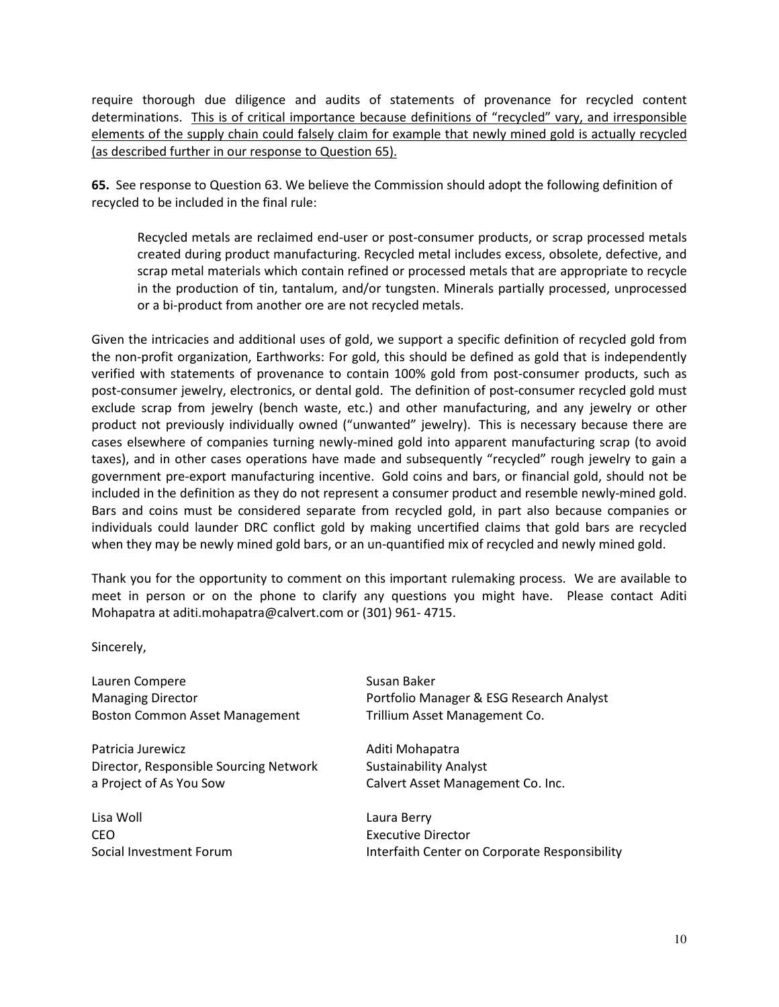require thorough due diligence and audits of statements of provenance for recycled content determinations. This is of critical importance because definitions of "recycled" vary, and irresponsible elements of the supply chain could falsely claim for example that newly mined gold is actually recycled (as described further in our response to Question 65).

65. See response to Question 63. We believe the Commission should adopt the following definition of recycled to be included in the final rule:

Recycled metals are reclaimed end-user or post-consumer products, or scrap processed metals created during product manufacturing. Recycled metal includes excess, obsolete, defective, and scrap metal materials which contain refined or processed metals that are appropriate to recycle in the production of tin, tantalum, and/or tungsten. Minerals partially processed, unprocessed or a bi-product from another ore are not recycled metals.

Given the intricacies and additional uses of gold, we support a specific definition of recycled gold from the non-profit organization, Earthworks: For gold, this should be defined as gold that is independently verified with statements of provenance to contain 100% gold from post-consumer products, such as post-consumer jewelry, electronics, or dental gold. The definition of post-consumer recycled gold must exclude scrap from jewelry (bench waste, etc.) and other manufacturing, and any jewelry or other product not previously individually owned ("unwanted" jewelry). This is necessary because there are cases elsewhere of companies turning newly-mined gold into apparent manufacturing scrap (to avoid taxes), and in other cases operations have made and subsequently "recycled" rough jewelry to gain a government pre-export manufacturing incentive. Gold coins and bars, or financial gold, should not be included in the definition as they do not represent a consumer product and resemble newly-mined gold. Bars and coins must be considered separate from recycled gold, in part also because companies or individuals could launder DRC conflict gold by making uncertified claims that gold bars are recycled when they may be newly mined gold bars, or an un-quantified mix of recycled and newly mined gold.

Thank you for the opportunity to comment on this important rulemaking process. We are available to meet in person or on the phone to clarify any questions you might have. Please contact Aditi Mohapatra at aditi.mohapatra@calvert.com or (301) 961- 4715.

Sincerely,

Lauren Compere **Susan Baker** Susan Baker Boston Common Asset Management Trillium Asset Management Co.

Patricia Jurewicz **Aditi Mohapatra** Aditi Mohapatra Director, Responsible Sourcing Network Sustainability Analyst a Project of As You Sow Calvert Asset Management Co. Inc.

Lisa Woll Laura Berry CEO **Executive Director** 

Managing Director Portfolio Manager & ESG Research Analyst

Social Investment Forum **Interfaith Center on Corporate Responsibility**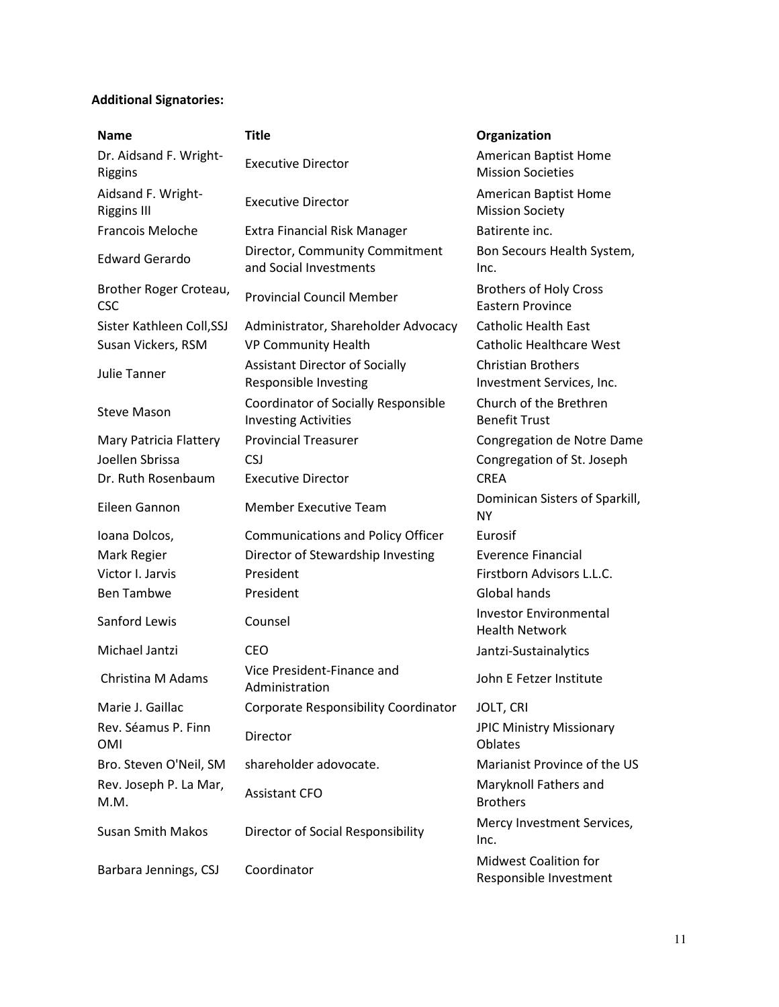## Additional Signatories:

| <b>Name</b>                                     | <b>Title</b>                                                       | Organization                                                   |
|-------------------------------------------------|--------------------------------------------------------------------|----------------------------------------------------------------|
| Dr. Aidsand F. Wright-<br>Riggins               | <b>Executive Director</b>                                          | American Baptist Home<br><b>Mission Societies</b>              |
| Aidsand F. Wright-<br><b>Riggins III</b>        | <b>Executive Director</b>                                          | American Baptist Home<br><b>Mission Society</b>                |
| Francois Meloche                                | <b>Extra Financial Risk Manager</b>                                | Batirente inc.                                                 |
| <b>Edward Gerardo</b>                           | Director, Community Commitment<br>and Social Investments           | Bon Secours Health System,<br>Inc.                             |
| Brother Roger Croteau,<br><b>CSC</b>            | <b>Provincial Council Member</b>                                   | <b>Brothers of Holy Cross</b><br><b>Eastern Province</b>       |
| Sister Kathleen Coll, SSJ<br>Susan Vickers, RSM | Administrator, Shareholder Advocacy<br>VP Community Health         | <b>Catholic Health East</b><br><b>Catholic Healthcare West</b> |
| Julie Tanner                                    | <b>Assistant Director of Socially</b><br>Responsible Investing     | <b>Christian Brothers</b><br>Investment Services, Inc.         |
| <b>Steve Mason</b>                              | Coordinator of Socially Responsible<br><b>Investing Activities</b> | Church of the Brethren<br><b>Benefit Trust</b>                 |
| Mary Patricia Flattery                          | <b>Provincial Treasurer</b>                                        | Congregation de Notre Dame                                     |
| Joellen Sbrissa                                 | <b>CSJ</b>                                                         | Congregation of St. Joseph                                     |
| Dr. Ruth Rosenbaum                              | <b>Executive Director</b>                                          | <b>CRFA</b>                                                    |
| Eileen Gannon                                   | <b>Member Executive Team</b>                                       | Dominican Sisters of Sparkill,<br><b>NY</b>                    |
| Ioana Dolcos,                                   | <b>Communications and Policy Officer</b>                           | Eurosif                                                        |
| Mark Regier                                     | Director of Stewardship Investing                                  | <b>Everence Financial</b>                                      |
| Victor I. Jarvis                                | President                                                          | Firstborn Advisors L.L.C.                                      |
| <b>Ben Tambwe</b>                               | President                                                          | Global hands                                                   |
| Sanford Lewis                                   | Counsel                                                            | <b>Investor Environmental</b><br><b>Health Network</b>         |
| Michael Jantzi                                  | CEO                                                                | Jantzi-Sustainalytics                                          |
| Christina M Adams                               | Vice President-Finance and<br>Administration                       | John E Fetzer Institute                                        |
| Marie J. Gaillac                                | Corporate Responsibility Coordinator                               | JOLT, CRI                                                      |
| Rev. Séamus P. Finn<br><b>OMI</b>               | Director                                                           | <b>JPIC Ministry Missionary</b><br>Oblates                     |
| Bro. Steven O'Neil, SM                          | shareholder adovocate.                                             | Marianist Province of the US                                   |
| Rev. Joseph P. La Mar,<br>M.M.                  | <b>Assistant CFO</b>                                               | Maryknoll Fathers and<br><b>Brothers</b>                       |
| <b>Susan Smith Makos</b>                        | Director of Social Responsibility                                  | Mercy Investment Services,<br>Inc.                             |
| Barbara Jennings, CSJ                           | Coordinator                                                        | <b>Midwest Coalition for</b><br>Responsible Investment         |